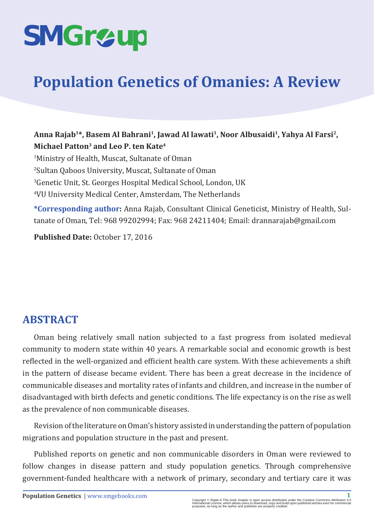# **SMGr&up**

# **Population Genetics of Omanies: A Review**

Anna Rajab<sup>1\*</sup>, Basem Al Bahrani<sup>1</sup>, Jawad Al lawati<sup>1</sup>, Noor Albusaidi<sup>1</sup>, Yahya Al Farsi<sup>2</sup>, **Michael Patton3 and Leo P. ten Kate4**

 Ministry of Health, Muscat, Sultanate of Oman Sultan Qaboos University, Muscat, Sultanate of Oman Genetic Unit, St. Georges Hospital Medical School, London, UK VU University Medical Center, Amsterdam, The Netherlands

**\*Corresponding author:** Anna Rajab, Consultant Clinical Geneticist, Ministry of Health, Sultanate of Oman, Tel: 968 99202994; Fax: 968 24211404; Email: drannarajab@gmail.com

**Published Date:** October 17, 2016

# **ABSTRACT**

Oman being relatively small nation subjected to a fast progress from isolated medieval community to modern state within 40 years. A remarkable social and economic growth is best reflected in the well-organized and efficient health care system. With these achievements a shift in the pattern of disease became evident. There has been a great decrease in the incidence of communicable diseases and mortality rates of infants and children, and increase in the number of disadvantaged with birth defects and genetic conditions. The life expectancy is on the rise as well as the prevalence of non communicable diseases.

Revision of the literature on Oman's history assisted in understanding the pattern of population migrations and population structure in the past and present.

Published reports on genetic and non communicable disorders in Oman were reviewed to follow changes in disease pattern and study population genetics. Through comprehensive government-funded healthcare with a network of primary, secondary and tertiary care it was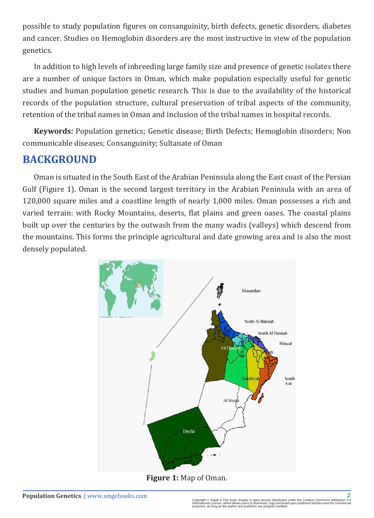possible to study population figures on consanguinity, birth defects, genetic disorders, diabetes and cancer. Studies on Hemoglobin disorders are the most instructive in view of the population genetics.

In addition to high levels of inbreeding large family size and presence of genetic isolates there are a number of unique factors in Oman, which make population especially useful for genetic studies and human population genetic research. This is due to the availability of the historical records of the population structure, cultural preservation of tribal aspects of the community, retention of the tribal names in Oman and inclusion of the tribal names in hospital records.

**Keywords:** Population genetics; Genetic disease; Birth Defects; Hemoglobin disorders; Non communicable diseases; Consanguinity; Sultanate of Oman

# **BACKGROUND**

Oman is situated in the South East of the Arabian Peninsula along the East coast of the Persian Gulf (Figure 1). Oman is the second largest territory in the Arabian Peninsula with an area of 120,000 square miles and a coastline length of nearly 1,000 miles. Oman possesses a rich and varied terrain: with Rocky Mountains, deserts, flat plains and green oases. The coastal plains built up over the centuries by the outwash from the many wadis (valleys) which descend from the mountains. This forms the principle agricultural and date growing area and is also the most densely populated.

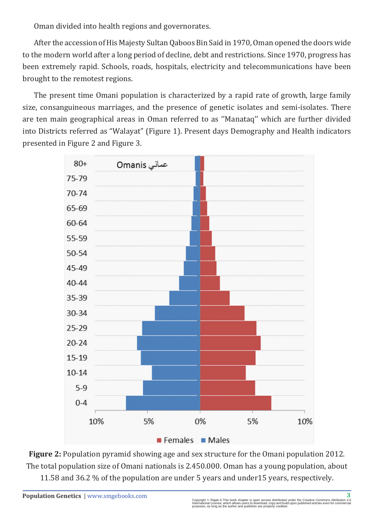Oman divided into health regions and governorates.

After the accession of His Majesty Sultan Qaboos Bin Said in 1970, Oman opened the doors wide to the modern world after a long period of decline, debt and restrictions. Since 1970, progress has been extremely rapid. Schools, roads, hospitals, electricity and telecommunications have been brought to the remotest regions.

The present time Omani population is characterized by a rapid rate of growth, large family size, consanguineous marriages, and the presence of genetic isolates and semi-isolates. There are ten main geographical areas in Oman referred to as ''Manataq'' which are further divided into Districts referred as "Walayat" (Figure 1). Present days Demography and Health indicators presented in Figure 2 and Figure 3.



**Figure 2:** Population pyramid showing age and sex structure for the Omani population 2012. The total population size of Omani nationals is 2.450.000. Oman has a young population, about 11.58 and 36.2 % of the population are under 5 years and under15 years, respectively.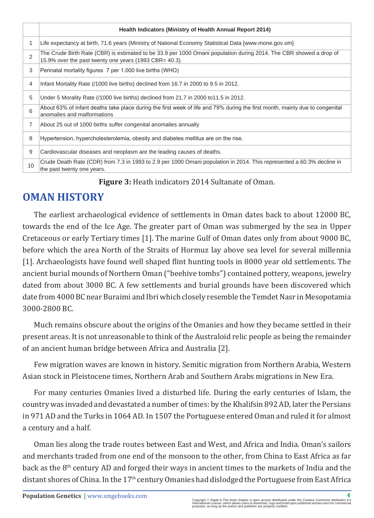|    | Health Indicators (Ministry of Health Annual Report 2014)                                                                                                                    |
|----|------------------------------------------------------------------------------------------------------------------------------------------------------------------------------|
|    | Life expectancy at birth, 71.6 years (Ministry of National Economy Statistical Data [www.mone.gov.om]                                                                        |
| 2  | The Crude Birth Rate (CBR) is estimated to be 33.9 per 1000 Omani population during 2014. The CBR showed a drop of<br>15.9% over the past twenty one years (1993 CBR= 40.3). |
| 3  | Perinatal mortality figures 7 per 1.000 live births (WHO)                                                                                                                    |
| 4  | Infant Mortality Rate (/1000 live births) declined from 16.7 in 2000 to 9.5 in 2012.                                                                                         |
| 5  | Under 5 Morality Rate (/1000 live births) declined from 21.7 in 2000 to 11.5 in 2012.                                                                                        |
| 6  | About 63% of infant deaths take place during the first week of life and 79% during the first month, mainly due to congenital<br>anomalies and malformations                  |
| 7  | About 25 out of 1000 births suffer congenital anomalies annually                                                                                                             |
| 8  | Hypertension, hypercholesterolemia, obesity and diabetes mellitus are on the rise.                                                                                           |
| 9  | Cardiovascular diseases and neoplasm are the leading causes of deaths.                                                                                                       |
| 10 | Crude Death Rate (CDR) from 7.3 in 1993 to 2.9 per 1000 Omani population in 2014. This represented a 60.3% decline in<br>the past twenty one years.                          |

**Figure 3:** Heath indicators 2014 Sultanate of Oman.

# **OMAN HISTORY**

The earliest archaeological evidence of settlements in Oman dates back to about 12000 BC, towards the end of the Ice Age. The greater part of Oman was submerged by the sea in Upper Cretaceous or early Tertiary times [1]. The marine Gulf of Oman dates only from about 9000 BC, before which the area North of the Straits of Hormuz lay above sea level for several millennia [1]. Archaeologists have found well shaped flint hunting tools in 8000 year old settlements. The ancient burial mounds of Northern Oman ("beehive tombs") contained pottery, weapons, jewelry dated from about 3000 BC. A few settlements and burial grounds have been discovered which date from 4000 BC near Buraimi and Ibri which closely resemble the Temdet Nasr in Mesopotamia 3000-2800 BC.

Much remains obscure about the origins of the Omanies and how they became settled in their present areas. It is not unreasonable to think of the Australoid relic people as being the remainder of an ancient human bridge between Africa and Australia [2].

Few migration waves are known in history. Semitic migration from Northern Arabia, Western Asian stock in Pleistocene times, Northern Arab and Southern Arabs migrations in New Era.

For many centuries Omanies lived a disturbed life. During the early centuries of Islam, the country was invaded and devastated a number of times: by the Khalifsin 892 AD, later the Persians in 971 AD and the Turks in 1064 AD. In 1507 the Portuguese entered Oman and ruled it for almost a century and a half.

Oman lies along the trade routes between East and West, and Africa and India. Oman's sailors and merchants traded from one end of the monsoon to the other, from China to East Africa as far back as the 8<sup>th</sup> century AD and forged their ways in ancient times to the markets of India and the distant shores of China. In the 17<sup>th</sup> century Omanies had dislodged the Portuguese from East Africa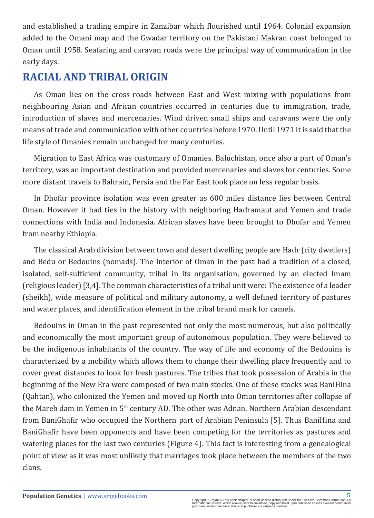and established a trading empire in Zanzibar which flourished until 1964. Colonial expansion added to the Omani map and the Gwadar territory on the Pakistani Makran coast belonged to Oman until 1958. Seafaring and caravan roads were the principal way of communication in the early days.

# **RACIAL AND TRIBAL ORIGIN**

As Oman lies on the cross-roads between East and West mixing with populations from neighbouring Asian and African countries occurred in centuries due to immigration, trade, introduction of slaves and mercenaries. Wind driven small ships and caravans were the only means of trade and communication with other countries before 1970. Until 1971 it is said that the life style of Omanies remain unchanged for many centuries.

Migration to East Africa was customary of Omanies. Baluchistan, once also a part of Oman's territory, was an important destination and provided mercenaries and slaves for centuries. Some more distant travels to Bahrain, Persia and the Far East took place on less regular basis.

In Dhofar province isolation was even greater as 600 miles distance lies between Central Oman. However it had ties in the history with neighboring Hadramaut and Yemen and trade connections with India and Indonesia. African slaves have been brought to Dhofar and Yemen from nearby Ethiopia.

The classical Arab division between town and desert dwelling people are Hadr (city dwellers) and Bedu or Bedouins (nomads). The Interior of Oman in the past had a tradition of a closed, isolated, self-sufficient community, tribal in its organisation, governed by an elected Imam (religious leader) [3,4]. The common characteristics of a tribal unit were: The existence of a leader (sheikh), wide measure of political and military autonomy, a well defined territory of pastures and water places, and identification element in the tribal brand mark for camels.

Bedouins in Oman in the past represented not only the most numerous, but also politically and economically the most important group of autonomous population. They were believed to be the indigenous inhabitants of the country. The way of life and economy of the Bedouins is characterized by a mobility which allows them to change their dwelling place frequently and to cover great distances to look for fresh pastures. The tribes that took possession of Arabia in the beginning of the New Era were composed of two main stocks. One of these stocks was BaniHina (Qahtan), who colonized the Yemen and moved up North into Oman territories after collapse of the Mareb dam in Yemen in 5<sup>th</sup> century AD. The other was Adnan, Northern Arabian descendant from BaniGhafir who occupied the Northern part of Arabian Peninsula [5]. Thus BaniHina and BaniGhafir have been opponents and have been competing for the territories as pastures and watering places for the last two centuries (Figure 4). This fact is interesting from a genealogical point of view as it was most unlikely that marriages took place between the members of the two clans.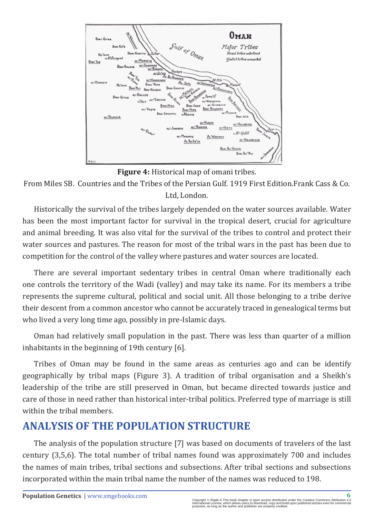

**Figure 4:** Historical map of omani tribes.

From Miles SB. Countries and the Tribes of the Persian Gulf. 1919 First Edition.Frank Cass & Co. Ltd, London.

Historically the survival of the tribes largely depended on the water sources available. Water has been the most important factor for survival in the tropical desert, crucial for agriculture and animal breeding. It was also vital for the survival of the tribes to control and protect their water sources and pastures. The reason for most of the tribal wars in the past has been due to competition for the control of the valley where pastures and water sources are located.

There are several important sedentary tribes in central Oman where traditionally each one controls the territory of the Wadi (valley) and may take its name. For its members a tribe represents the supreme cultural, political and social unit. All those belonging to a tribe derive their descent from a common ancestor who cannot be accurately traced in genealogical terms but who lived a very long time ago, possibly in pre-Islamic days.

Oman had relatively small population in the past. There was less than quarter of a million inhabitants in the beginning of 19th century [6].

Tribes of Oman may be found in the same areas as centuries ago and can be identify geographically by tribal maps (Figure 3). A tradition of tribal organisation and a Sheikh's leadership of the tribe are still preserved in Oman, but became directed towards justice and care of those in need rather than historical inter-tribal politics. Preferred type of marriage is still within the tribal members.

# **ANALYSIS OF THE POPULATION STRUCTURE**

The analysis of the population structure [7] was based on documents of travelers of the last century (3,5,6). The total number of tribal names found was approximately 700 and includes the names of main tribes, tribal sections and subsections. After tribal sections and subsections incorporated within the main tribal name the number of the names was reduced to 198.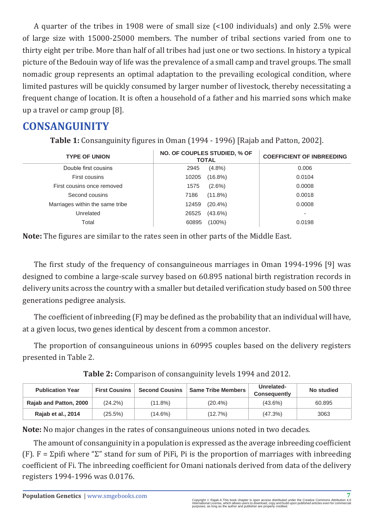A quarter of the tribes in 1908 were of small size (<100 individuals) and only 2.5% were of large size with 15000-25000 members. The number of tribal sections varied from one to thirty eight per tribe. More than half of all tribes had just one or two sections. In history a typical picture of the Bedouin way of life was the prevalence of a small camp and travel groups. The small nomadic group represents an optimal adaptation to the prevailing ecological condition, where limited pastures will be quickly consumed by larger number of livestock, thereby necessitating a frequent change of location. It is often a household of a father and his married sons which make up a travel or camp group [8].

# **CONSANGUINITY**

**Table 1:** Consanguinity figures in Oman (1994 - 1996) [Rajab and Patton, 2002].

| <b>TYPE OF UNION</b>            | NO. OF COUPLES STUDIED, % OF<br><b>TOTAL</b> |            | <b>COEFFICIENT OF INBREEDING</b> |
|---------------------------------|----------------------------------------------|------------|----------------------------------|
| Double first cousins            | 2945                                         | $(4.8\%)$  | 0.006                            |
| First cousins                   | 10205                                        | $(16.8\%)$ | 0.0104                           |
| First cousins once removed      | 1575                                         | $(2.6\%)$  | 0.0008                           |
| Second cousins                  | 7186                                         | $(11.8\%)$ | 0.0018                           |
| Marriages within the same tribe | 12459                                        | $(20.4\%)$ | 0.0008                           |
| Unrelated                       | 26525                                        | $(43.6\%)$ | $\overline{\phantom{a}}$         |
| Total                           | 60895                                        | (100%)     | 0.0198                           |

**Note:** The figures are similar to the rates seen in other parts of the Middle East.

The first study of the frequency of consanguineous marriages in Oman 1994-1996 [9] was designed to combine a large-scale survey based on 60.895 national birth registration records in delivery units across the country with a smaller but detailed verification study based on 500 three generations pedigree analysis.

The coefficient of inbreeding (F) may be defined as the probability that an individual will have, at a given locus, two genes identical by descent from a common ancestor.

The proportion of consanguineous unions in 60995 couples based on the delivery registers presented in Table 2.

|  | Table 2: Comparison of consanguinity levels 1994 and 2012. |
|--|------------------------------------------------------------|
|--|------------------------------------------------------------|

| <b>Publication Year</b> | <b>First Cousins</b> | <b>Second Cousins</b> | <b>Same Tribe Members</b> | Unrelated-<br>Consequently | No studied |
|-------------------------|----------------------|-----------------------|---------------------------|----------------------------|------------|
| Raiab and Patton, 2000  | $(24.2\%)$           | (11.8%)               | $(20.4\%)$                | $(43.6\%)$                 | 60.895     |
| Rajab et al., 2014      | (25.5%)              | (14.6%)               | (12.7%)                   | (47.3%)                    | 3063       |

**Note:** No major changes in the rates of consanguineous unions noted in two decades.

The amount of consanguinity in a population is expressed as the average inbreeding coefficient (F).  $F = \Sigma$ pifi where " $\Sigma$ " stand for sum of PiFi, Pi is the proportion of marriages with inbreeding coefficient of Fi. The inbreeding coefficient for Omani nationals derived from data of the delivery registers 1994-1996 was 0.0176.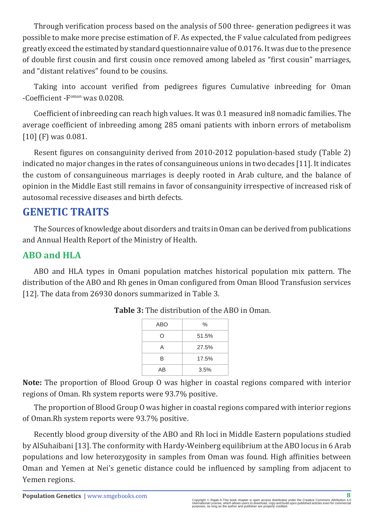Through verification process based on the analysis of 500 three- generation pedigrees it was possible to make more precise estimation of F. As expected, the F value calculated from pedigrees greatly exceed the estimated by standard questionnaire value of 0.0176. It was due to the presence of double first cousin and first cousin once removed among labeled as "first cousin" marriages, and "distant relatives" found to be cousins.

Taking into account verified from pedigrees figures Cumulative inbreeding for Oman -Coefficient -Foman was 0.0208.

Coefficient of inbreeding can reach high values. It was 0.1 measured in8 nomadic families. The average coefficient of inbreeding among 285 omani patients with inborn errors of metabolism [10] (F) was 0.081.

Resent figures on consanguinity derived from 2010-2012 population-based study (Table 2) indicated no major changes in the rates of consanguineous unions in two decades [11]. It indicates the custom of consanguineous marriages is deeply rooted in Arab culture, and the balance of opinion in the Middle East still remains in favor of consanguinity irrespective of increased risk of autosomal recessive diseases and birth defects.

# **GENETIC TRAITS**

The Sources of knowledge about disorders and traits in Oman can be derived from publications and Annual Health Report of the Ministry of Health.

#### **ABO and HLA**

ABO and HLA types in Omani population matches historical population mix pattern. The distribution of the ABO and Rh genes in Oman configured from Oman Blood Transfusion services [12]. The data from 26930 donors summarized in Table 3.

| ABO | $\frac{0}{0}$ |
|-----|---------------|
| Ω   | 51.5%         |
| А   | 27.5%         |
| R   | 17.5%         |
| AB  | 3.5%          |

**Table 3:** The distribution of the ABO in Oman.

**Note:** The proportion of Blood Group O was higher in coastal regions compared with interior regions of Oman. Rh system reports were 93.7% positive.

The proportion of Blood Group O was higher in coastal regions compared with interior regions of Oman.Rh system reports were 93.7% positive.

Recently blood group diversity of the ABO and Rh loci in Middle Eastern populations studied by AlSuhaibani [13]. The conformity with Hardy-Weinberg equilibrium at the ABO locus in 6 Arab populations and low heterozygosity in samples from Oman was found. High affinities between Oman and Yemen at Nei's genetic distance could be influenced by sampling from adjacent to Yemen regions.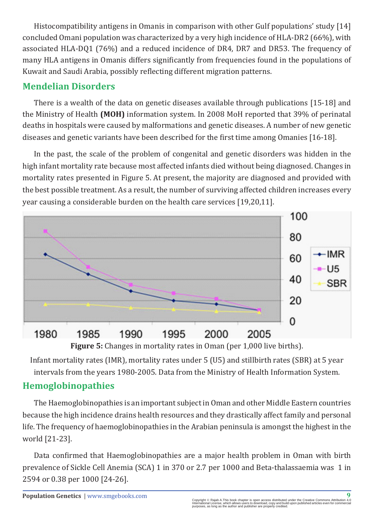Histocompatibility antigens in Omanis in comparison with other Gulf populations' study [14] concluded Omani population was characterized by a very high incidence of HLA-DR2 (66%), with associated HLA-DQ1 (76%) and a reduced incidence of DR4, DR7 and DR53. The frequency of many HLA antigens in Omanis differs significantly from frequencies found in the populations of Kuwait and Saudi Arabia, possibly reflecting different migration patterns.

#### **Mendelian Disorders**

There is a wealth of the data on genetic diseases available through publications [15-18] and the Ministry of Health **(MOH)** information system. In 2008 MoH reported that 39% of perinatal deaths in hospitals were caused by malformations and genetic diseases. A number of new genetic diseases and genetic variants have been described for the first time among Omanies [16-18].

In the past, the scale of the problem of congenital and genetic disorders was hidden in the high infant mortality rate because most affected infants died without being diagnosed. Changes in mortality rates presented in Figure 5. At present, the majority are diagnosed and provided with the best possible treatment. As a result, the number of surviving affected children increases every year causing a considerable burden on the health care services [19,20,11].



**Figure 5:** Changes in mortality rates in Oman (per 1,000 live births).

Infant mortality rates (IMR), mortality rates under 5 (U5) and stillbirth rates (SBR) at 5 year intervals from the years 1980-2005. Data from the Ministry of Health Information System.

#### **Hemoglobinopathies**

The Haemoglobinopathies is an important subject in Oman and other Middle Eastern countries because the high incidence drains health resources and they drastically affect family and personal life. The frequency of haemoglobinopathies in the Arabian peninsula is amongst the highest in the world [21-23].

Data confirmed that Haemoglobinopathies are a major health problem in Oman with birth prevalence of Sickle Cell Anemia (SCA) 1 in 370 or 2.7 per 1000 and Beta-thalassaemia was 1 in 2594 or 0.38 per 1000 [24-26].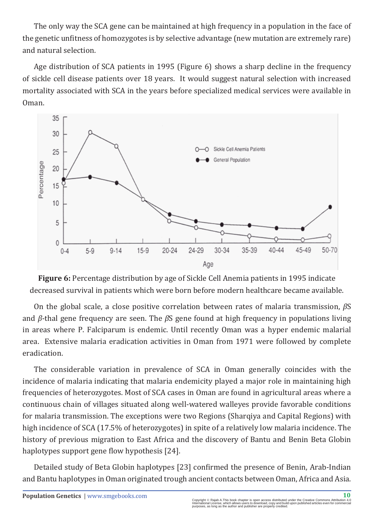The only way the SCA gene can be maintained at high frequency in a population in the face of the genetic unfitness of homozygotes is by selective advantage (new mutation are extremely rare) and natural selection.

Age distribution of SCA patients in 1995 (Figure 6) shows a sharp decline in the frequency of sickle cell disease patients over 18 years. It would suggest natural selection with increased mortality associated with SCA in the years before specialized medical services were available in Oman.



**Figure 6:** Percentage distribution by age of Sickle Cell Anemia patients in 1995 indicate decreased survival in patients which were born before modern healthcare became available.

On the global scale, a close positive correlation between rates of malaria transmission, *β*S and *β*-thal gene frequency are seen. The *β*S gene found at high frequency in populations living in areas where P. Falciparum is endemic. Until recently Oman was a hyper endemic malarial area. Extensive malaria eradication activities in Oman from 1971 were followed by complete eradication.

The considerable variation in prevalence of SCA in Oman generally coincides with the incidence of malaria indicating that malaria endemicity played a major role in maintaining high frequencies of heterozygotes. Most of SCA cases in Oman are found in agricultural areas where a continuous chain of villages situated along well-watered walleyes provide favorable conditions for malaria transmission. The exceptions were two Regions (Sharqiya and Capital Regions) with high incidence of SCA (17.5% of heterozygotes) in spite of a relatively low malaria incidence. The history of previous migration to East Africa and the discovery of Bantu and Benin Beta Globin haplotypes support gene flow hypothesis [24].

Detailed study of Beta Globin haplotypes [23] confirmed the presence of Benin, Arab-Indian and Bantu haplotypes in Oman originated trough ancient contacts between Oman, Africa and Asia.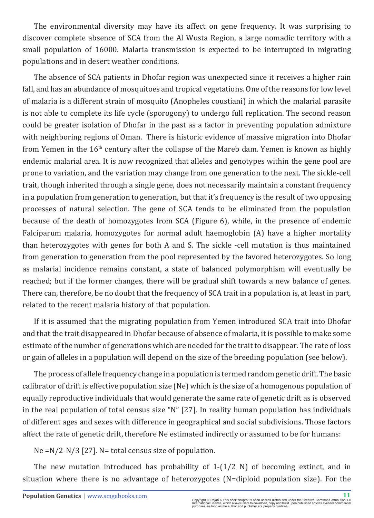The environmental diversity may have its affect on gene frequency. It was surprising to discover complete absence of SCA from the Al Wusta Region, a large nomadic territory with a small population of 16000. Malaria transmission is expected to be interrupted in migrating populations and in desert weather conditions.

The absence of SCA patients in Dhofar region was unexpected since it receives a higher rain fall, and has an abundance of mosquitoes and tropical vegetations. One of the reasons for low level of malaria is a different strain of mosquito (Anopheles coustiani) in which the malarial parasite is not able to complete its life cycle (sporogony) to undergo full replication. The second reason could be greater isolation of Dhofar in the past as a factor in preventing population admixture with neighboring regions of Oman. There is historic evidence of massive migration into Dhofar from Yemen in the  $16<sup>th</sup>$  century after the collapse of the Mareb dam. Yemen is known as highly endemic malarial area. It is now recognized that alleles and genotypes within the gene pool are prone to variation, and the variation may change from one generation to the next. The sickle-cell trait, though inherited through a single gene, does not necessarily maintain a constant frequency in a population from generation to generation, but that it's frequency is the result of two opposing processes of natural selection. The gene of SCA tends to be eliminated from the population because of the death of homozygotes from SCA (Figure 6), while, in the presence of endemic Falciparum malaria, homozygotes for normal adult haemoglobin (A) have a higher mortality than heterozygotes with genes for both A and S. The sickle -cell mutation is thus maintained from generation to generation from the pool represented by the favored heterozygotes. So long as malarial incidence remains constant, a state of balanced polymorphism will eventually be reached; but if the former changes, there will be gradual shift towards a new balance of genes. There can, therefore, be no doubt that the frequency of SCA trait in a population is, at least in part, related to the recent malaria history of that population.

If it is assumed that the migrating population from Yemen introduced SCA trait into Dhofar and that the trait disappeared in Dhofar because of absence of malaria, it is possible to make some estimate of the number of generations which are needed for the trait to disappear. The rate of loss or gain of alleles in a population will depend on the size of the breeding population (see below).

The process of allele frequency change in a population is termed random genetic drift. The basic calibrator of drift is effective population size (Ne) which is the size of a homogenous population of equally reproductive individuals that would generate the same rate of genetic drift as is observed in the real population of total census size "N" [27]. In reality human population has individuals of different ages and sexes with difference in geographical and social subdivisions. Those factors affect the rate of genetic drift, therefore Ne estimated indirectly or assumed to be for humans:

Ne =N/2-N/3 [27]. N= total census size of population.

The new mutation introduced has probability of  $1-(1/2 N)$  of becoming extinct, and in situation where there is no advantage of heterozygotes (N=diploid population size). For the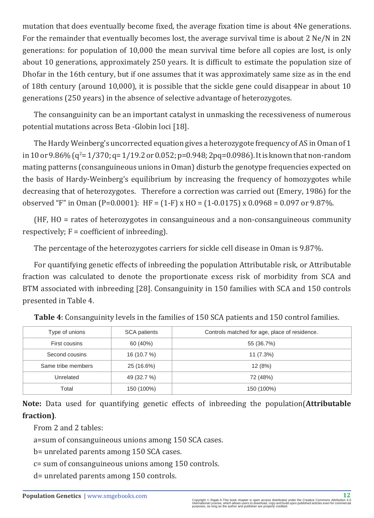mutation that does eventually become fixed, the average fixation time is about 4Ne generations. For the remainder that eventually becomes lost, the average survival time is about 2 Ne/N in 2N generations: for population of 10,000 the mean survival time before all copies are lost, is only about 10 generations, approximately 250 years. It is difficult to estimate the population size of Dhofar in the 16th century, but if one assumes that it was approximately same size as in the end of 18th century (around 10,000), it is possible that the sickle gene could disappear in about 10 generations (250 years) in the absence of selective advantage of heterozygotes.

The consanguinity can be an important catalyst in unmasking the recessiveness of numerous potential mutations across Beta -Globin loci [18].

The Hardy Weinberg's uncorrected equation gives a heterozygote frequency of AS in Oman of 1 in 10 or 9.86% (q²= 1/370; q= 1/19.2 or 0.052; p=0.948; 2pq=0.0986). It is known that non-random mating patterns (consanguineous unions in Oman) disturb the genotype frequencies expected on the basis of Hardy-Weinberg's equilibrium by increasing the frequency of homozygotes while decreasing that of heterozygotes. Therefore a correction was carried out (Emery, 1986) for the observed "F" in Oman (P=0.0001): HF =  $(1-F)$  x HO =  $(1-0.0175)$  x 0.0968 = 0.097 or 9.87%.

(HF, HO = rates of heterozygotes in consanguineous and a non-consanguineous community respectively;  $F =$  coefficient of inbreeding).

The percentage of the heterozygotes carriers for sickle cell disease in Oman is 9.87%.

For quantifying genetic effects of inbreeding the population Attributable risk, or Attributable fraction was calculated to denote the proportionate excess risk of morbidity from SCA and BTM associated with inbreeding [28]. Consanguinity in 150 families with SCA and 150 controls presented in Table 4.

| Type of unions     | <b>SCA</b> patients | Controls matched for age, place of residence. |
|--------------------|---------------------|-----------------------------------------------|
| First cousins      | 60 (40%)            | 55 (36.7%)                                    |
| Second cousins     | 16 (10.7 %)         | 11(7.3%)                                      |
| Same tribe members | 25 (16.6%)          | 12(8%)                                        |
| Unrelated          | 49 (32.7 %)         | 72 (48%)                                      |
| Total              | 150 (100%)          | 150 (100%)                                    |

**Table 4**: Consanguinity levels in the families of 150 SCA patients and 150 control families.

**Note:** Data used for quantifying genetic effects of inbreeding the population(**Attributable fraction)**.

From 2 and 2 tables:

a=sum of consanguineous unions among 150 SCA cases.

b= unrelated parents among 150 SCA cases.

c= sum of consanguineous unions among 150 controls.

d= unrelated parents among 150 controls.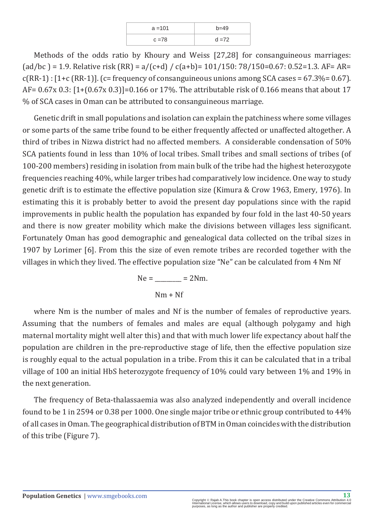| $a = 101$ | $b = 49$ |
|-----------|----------|
| $c = 78$  | $d = 72$ |

Methods of the odds ratio by Khoury and Weiss [27,28] for consanguineous marriages: (ad/bc) = 1.9. Relative risk (RR) =  $a/(c+d) / c(a+b) = 101/150: 78/150 = 0.67: 0.52 = 1.3$ . AF= AR=  $c(RR-1)$ : [1+c (RR-1)]. (c= frequency of consanguineous unions among SCA cases = 67.3%= 0.67). AF= 0.67x 0.3: [1+(0.67x 0.3)]=0.166 or 17%. The attributable risk of 0.166 means that about 17 % of SCA cases in Oman can be attributed to consanguineous marriage.

Genetic drift in small populations and isolation can explain the patchiness where some villages or some parts of the same tribe found to be either frequently affected or unaffected altogether. A third of tribes in Nizwa district had no affected members. A considerable condensation of 50% SCA patients found in less than 10% of local tribes. Small tribes and small sections of tribes (of 100-200 members) residing in isolation from main bulk of the tribe had the highest heterozygote frequencies reaching 40%, while larger tribes had comparatively low incidence. One way to study genetic drift is to estimate the effective population size (Kimura & Crow 1963, Emery, 1976). In estimating this it is probably better to avoid the present day populations since with the rapid improvements in public health the population has expanded by four fold in the last 40-50 years and there is now greater mobility which make the divisions between villages less significant. Fortunately Oman has good demographic and genealogical data collected on the tribal sizes in 1907 by Lorimer [6]. From this the size of even remote tribes are recorded together with the villages in which they lived. The effective population size "Ne" can be calculated from 4 Nm Nf

$$
Ne = \underline{\qquad} = 2Nm.
$$
  
Nm + Nf

where Nm is the number of males and Nf is the number of females of reproductive years. Assuming that the numbers of females and males are equal (although polygamy and high maternal mortality might well alter this) and that with much lower life expectancy about half the population are children in the pre-reproductive stage of life, then the effective population size is roughly equal to the actual population in a tribe. From this it can be calculated that in a tribal village of 100 an initial HbS heterozygote frequency of 10% could vary between 1% and 19% in the next generation.

The frequency of Beta-thalassaemia was also analyzed independently and overall incidence found to be 1 in 2594 or 0.38 per 1000. One single major tribe or ethnic group contributed to 44% of all cases in Oman. The geographical distribution of BTM in Oman coincides with the distribution of this tribe (Figure 7).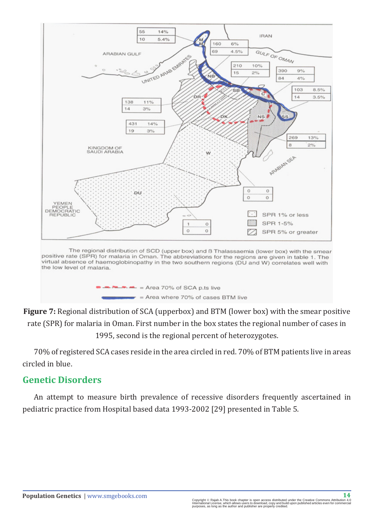





70% of registered SCA cases reside in the area circled in red. 70% of BTM patients live in areas circled in blue.

#### **Genetic Disorders**

An attempt to measure birth prevalence of recessive disorders frequently ascertained in pediatric practice from Hospital based data 1993-2002 [29] presented in Table 5.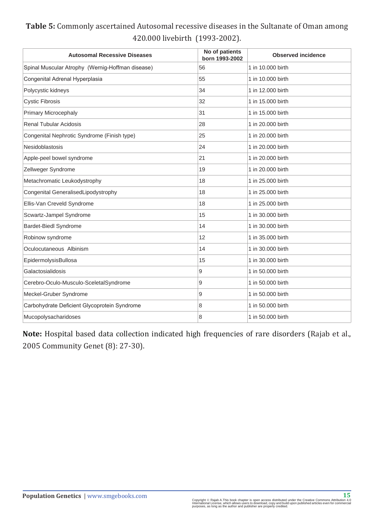#### **Table 5:** Commonly ascertained Autosomal recessive diseases in the Sultanate of Oman among 420.000 livebirth (1993-2002).

| <b>Autosomal Recessive Diseases</b>              | No of patients<br>born 1993-2002 | <b>Observed incidence</b> |
|--------------------------------------------------|----------------------------------|---------------------------|
| Spinal Muscular Atrophy (Wernig-Hoffman disease) | 56                               | 1 in 10.000 birth         |
| Congenital Adrenal Hyperplasia                   | 55                               | 1 in 10.000 birth         |
| Polycystic kidneys                               | 34                               | 1 in 12,000 birth         |
| <b>Cystic Fibrosis</b>                           | 32                               | 1 in 15,000 birth         |
| <b>Primary Microcephaly</b>                      | 31                               | 1 in 15,000 birth         |
| <b>Renal Tubular Acidosis</b>                    | 28                               | 1 in 20.000 birth         |
| Congenital Nephrotic Syndrome (Finish type)      | 25                               | 1 in 20.000 birth         |
| Nesidoblastosis                                  | 24                               | 1 in 20,000 birth         |
| Apple-peel bowel syndrome                        | 21                               | 1 in 20.000 birth         |
| Zellweger Syndrome                               | 19                               | 1 in 20,000 birth         |
| Metachromatic Leukodystrophy                     | 18                               | 1 in 25,000 birth         |
| Congenital GeneralisedLipodystrophy              | 18                               | 1 in 25,000 birth         |
| Ellis-Van Creveld Syndrome                       | 18                               | 1 in 25,000 birth         |
| Scwartz-Jampel Syndrome                          | 15                               | 1 in 30,000 birth         |
| <b>Bardet-Biedl Syndrome</b>                     | 14                               | 1 in 30,000 birth         |
| Robinow syndrome                                 | 12                               | 1 in 35,000 birth         |
| Oculocutaneous Albinism                          | 14                               | 1 in 30,000 birth         |
| EpidermolysisBullosa                             | 15                               | 1 in 30,000 birth         |
| Galactosialidosis                                | 9                                | 1 in 50,000 birth         |
| Cerebro-Oculo-Musculo-SceletalSyndrome           | 9                                | 1 in 50,000 birth         |
| Meckel-Gruber Syndrome                           | 9                                | 1 in 50,000 birth         |
| Carbohydrate Deficient Glycoprotein Syndrome     | 8                                | 1 in 50,000 birth         |
| Mucopolysacharidoses                             | 8                                | 1 in 50,000 birth         |

**Note:** Hospital based data collection indicated high frequencies of rare disorders (Rajab et al., 2005 Community Genet (8): 27-30).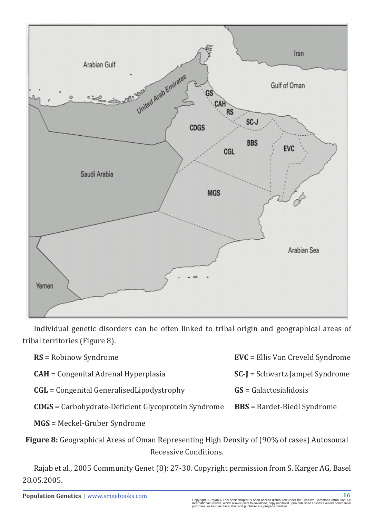

Individual genetic disorders can be often linked to tribal origin and geographical areas of tribal territories (Figure 8).

| $RS =$ Robinow Syndrome                                    | <b>EVC</b> = Ellis Van Creveld Syndrome |
|------------------------------------------------------------|-----------------------------------------|
| $CAH =$ Congenital Adrenal Hyperplasia                     | <b>SC-J</b> = Schwartz Jampel Syndrome  |
| $CGL =$ Congenital Generalised Lipodystrophy               | $GS =$ Galactosialidosis                |
| <b>CDGS</b> = Carbohydrate-Deficient Glycoprotein Syndrome | <b>BBS</b> = Bardet-Biedl Syndrome      |
|                                                            |                                         |

**MGS** = Meckel-Gruber Syndrome

**Figure 8:** Geographical Areas of Oman Representing High Density of (90% of cases) Autosomal Recessive Conditions.

Rajab et al., 2005 Community Genet (8): 27-30. Copyright permission from S. Karger AG, Basel 28.05.2005.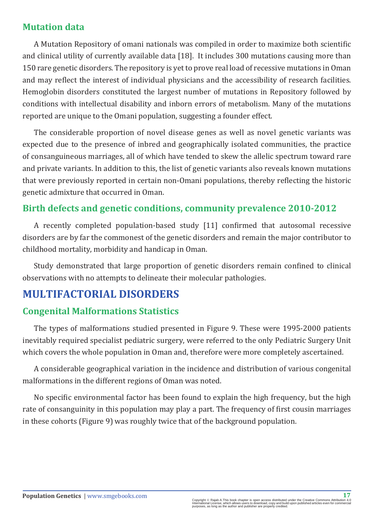#### **Mutation data**

A Mutation Repository of omani nationals was compiled in order to maximize both scientific and clinical utility of currently available data [18]. It includes 300 mutations causing more than 150 rare genetic disorders. The repository is yet to prove real load of recessive mutations in Oman and may reflect the interest of individual physicians and the accessibility of research facilities. Hemoglobin disorders constituted the largest number of mutations in Repository followed by conditions with intellectual disability and inborn errors of metabolism. Many of the mutations reported are unique to the Omani population, suggesting a founder effect.

The considerable proportion of novel disease genes as well as novel genetic variants was expected due to the presence of inbred and geographically isolated communities, the practice of consanguineous marriages, all of which have tended to skew the allelic spectrum toward rare and private variants. In addition to this, the list of genetic variants also reveals known mutations that were previously reported in certain non-Omani populations, thereby reflecting the historic genetic admixture that occurred in Oman.

#### **Birth defects and genetic conditions, community prevalence 2010-2012**

A recently completed population-based study [11] confirmed that autosomal recessive disorders are by far the commonest of the genetic disorders and remain the major contributor to childhood mortality, morbidity and handicap in Oman.

Study demonstrated that large proportion of genetic disorders remain confined to clinical observations with no attempts to delineate their molecular pathologies.

# **MULTIFACTORIAL DISORDERS**

#### **Congenital Malformations Statistics**

The types of malformations studied presented in Figure 9. These were 1995-2000 patients inevitably required specialist pediatric surgery, were referred to the only Pediatric Surgery Unit which covers the whole population in Oman and, therefore were more completely ascertained.

A considerable geographical variation in the incidence and distribution of various congenital malformations in the different regions of Oman was noted.

No specific environmental factor has been found to explain the high frequency, but the high rate of consanguinity in this population may play a part. The frequency of first cousin marriages in these cohorts (Figure 9) was roughly twice that of the background population.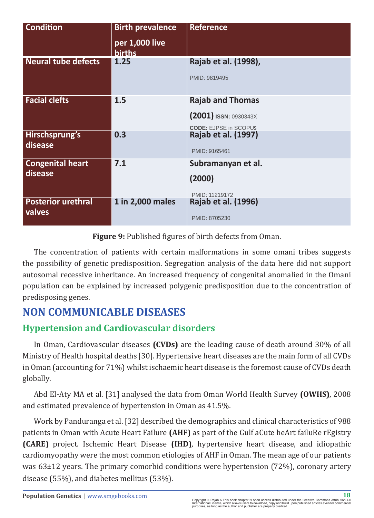| <b>Condition</b>                    | <b>Birth prevalence</b><br>per 1,000 live<br><b>births</b> | <b>Reference</b>                                                                   |
|-------------------------------------|------------------------------------------------------------|------------------------------------------------------------------------------------|
| <b>Neural tube defects</b>          | 1.25                                                       | Rajab et al. (1998),<br>PMID: 9819495                                              |
| <b>Facial clefts</b>                | 1.5                                                        | <b>Rajab and Thomas</b><br>$(2001)$ ISSN: 0930343X<br><b>CODE: EJPSE in SCOPUS</b> |
| Hirschsprung's<br>disease           | 0.3                                                        | Rajab et al. (1997)<br>PMID: 9165461                                               |
| <b>Congenital heart</b><br>disease  | 7.1                                                        | Subramanyan et al.<br>(2000)<br>PMID: 11219172                                     |
| <b>Posterior urethral</b><br>valves | 1 in 2,000 males                                           | Rajab et al. (1996)<br>PMID: 8705230                                               |

**Figure 9:** Published figures of birth defects from Oman.

The concentration of patients with certain malformations in some omani tribes suggests the possibility of genetic predisposition. Segregation analysis of the data here did not support autosomal recessive inheritance. An increased frequency of congenital anomalied in the Omani population can be explained by increased polygenic predisposition due to the concentration of predisposing genes.

# **NON COMMUNICABLE DISEASES**

# **Hypertension and Cardiovascular disorders**

In Oman, Cardiovascular diseases **(CVDs)** are the leading cause of death around 30% of all Ministry of Health hospital deaths [30]. Hypertensive heart diseases are the main form of all CVDs in Oman (accounting for 71%) whilst ischaemic heart disease is the foremost cause of CVDs death globally.

Abd El-Aty MA et al. [31] analysed the data from Oman World Health Survey **(OWHS)**, 2008 and estimated prevalence of hypertension in Oman as 41.5%.

Work by Panduranga et al. [32] described the demographics and clinical characteristics of 988 patients in Oman with Acute Heart Failure **(AHF)** as part of the Gulf aCute heArt failuRe rEgistry **(CARE)** project. Ischemic Heart Disease **(IHD)**, hypertensive heart disease, and idiopathic cardiomyopathy were the most common etiologies of AHF in Oman. The mean age of our patients was 63±12 years. The primary comorbid conditions were hypertension (72%), coronary artery disease (55%), and diabetes mellitus (53%).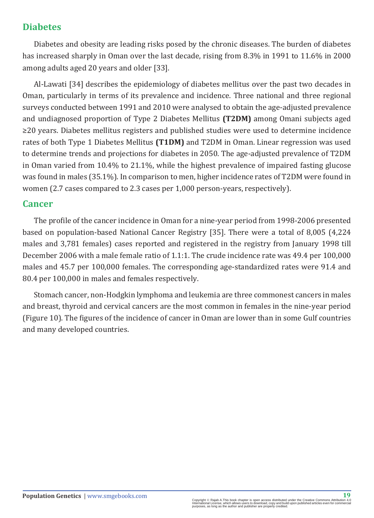#### **Diabetes**

Diabetes and obesity are leading risks posed by the chronic diseases. The burden of diabetes has increased sharply in Oman over the last decade, rising from 8.3% in 1991 to 11.6% in 2000 among adults aged 20 years and older [33].

Al-Lawati [34] describes the epidemiology of diabetes mellitus over the past two decades in Oman, particularly in terms of its prevalence and incidence. Three national and three regional surveys conducted between 1991 and 2010 were analysed to obtain the age-adjusted prevalence and undiagnosed proportion of Type 2 Diabetes Mellitus **(T2DM)** among Omani subjects aged ≥20 years. Diabetes mellitus registers and published studies were used to determine incidence rates of both Type 1 Diabetes Mellitus **(T1DM)** and T2DM in Oman. Linear regression was used to determine trends and projections for diabetes in 2050. The age-adjusted prevalence of T2DM in Oman varied from 10.4% to 21.1%, while the highest prevalence of impaired fasting glucose was found in males (35.1%). In comparison to men, higher incidence rates of T2DM were found in women (2.7 cases compared to 2.3 cases per 1,000 person-years, respectively).

#### **Cancer**

The profile of the cancer incidence in Oman for a nine-year period from 1998-2006 presented based on population-based National Cancer Registry [35]. There were a total of 8,005 (4,224 males and 3,781 females) cases reported and registered in the registry from January 1998 till December 2006 with a male female ratio of 1.1:1. The crude incidence rate was 49.4 per 100,000 males and 45.7 per 100,000 females. The corresponding age-standardized rates were 91.4 and 80.4 per 100,000 in males and females respectively.

Stomach cancer, non-Hodgkin lymphoma and leukemia are three commonest cancers in males and breast, thyroid and cervical cancers are the most common in females in the nine-year period (Figure 10). The figures of the incidence of cancer in Oman are lower than in some Gulf countries and many developed countries.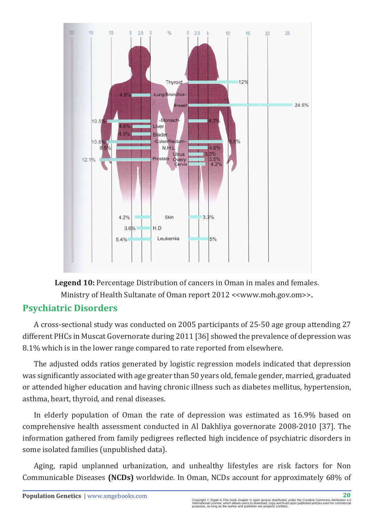

**Legend 10:** Percentage Distribution of cancers in Oman in males and females. Ministry of Health Sultanate of Oman report 2012 <<[www.moh.gov.om](http://www.moh.gov.om/)>>**.**

#### **Psychiatric Disorders**

A cross-sectional study was conducted on 2005 participants of 25-50 age group attending 27 different PHCs in Muscat Governorate during 2011 [36] showed the prevalence of depression was 8.1% which is in the lower range compared to rate reported from elsewhere.

The adjusted odds ratios generated by logistic regression models indicated that depression was significantly associated with age greater than 50 years old, female gender, married, graduated or attended higher education and having chronic illness such as diabetes mellitus, hypertension, asthma, heart, thyroid, and renal diseases.

In elderly population of Oman the rate of depression was estimated as 16.9% based on comprehensive health assessment conducted in Al Dakhliya governorate 2008-2010 [37]. The information gathered from family pedigrees reflected high incidence of psychiatric disorders in some isolated families (unpublished data).

Aging, rapid unplanned urbanization, and unhealthy lifestyles are risk factors for Non Communicable Diseases **(NCDs)** worldwide. In Oman, NCDs account for approximately 68% of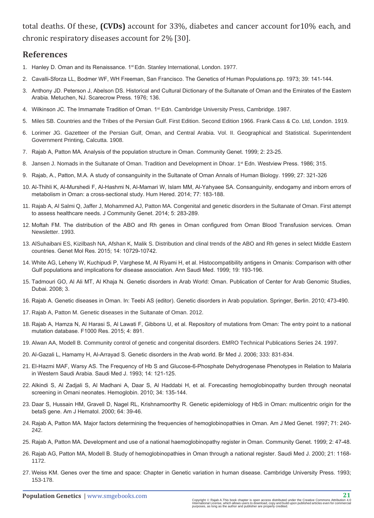total deaths. Of these, **(CVDs)** account for 33%, diabetes and cancer account for10% each, and chronic respiratory diseases account for 2% [30].

#### **References**

- 1. Hanley D. Oman and its Renaissance. 1<sup>st</sup> Edn. Stanley International, London. 1977.
- 2. C[avalli-Sforza LL, Bodmer WF, WH Freeman, San Francisco. The Genetics of Human Populations.pp. 1973; 39: 141-144.](http://onlinelibrary.wiley.com/doi/10.1002/ajpa.1330390117/abstract)
- 3. [Anthony JD. Peterson J, Abelson DS. Historical and Cultural Dictionary of the Sultanate of Oman and the Emirates of the Eastern](http://ncusar.org/pubs/1976/06/historical-and-cultural-dictionary-of-the-sultanate-of-oman-and-the-emirates-of-eastern-arabia/)  [Arabia. Metuchen, NJ. Scarecrow Press. 1976; 136.](http://ncusar.org/pubs/1976/06/historical-and-cultural-dictionary-of-the-sultanate-of-oman-and-the-emirates-of-eastern-arabia/)
- 4. Wilkinson JC. The Immamate Tradition of Oman. 1<sup>st</sup> Edn. Cambridge University Press, Cambridge. 1987.
- 5. M[iles SB. Countries and the Tribes of the Persian Gulf. First Edition. Second Edition 1966. Frank Cass & Co. Ltd, London. 1919.](https://www.wdl.org/en/item/17107/)
- 6. L[orimer JG. Gazetteer of the Persian Gulf, Oman, and Central Arabia. Vol. II. Geographical and Statistical. Superintendent](http://www.worldcat.org/title/gazetteer-of-the-persian-gulf-oman-and-central-arabia/oclc/900966751)  [Government Printing, Calcutta. 1908.](http://www.worldcat.org/title/gazetteer-of-the-persian-gulf-oman-and-central-arabia/oclc/900966751)
- 7. R[ajab A, Patton MA. Analysis of the population structure in Oman. Community Genet. 1999; 2: 23-25.](http://www.ncbi.nlm.nih.gov/pubmed/15178958)
- 8. Jansen J. Nomads in the Sultanate of Oman. Tradition and Development in Dhoar. 1<sup>st</sup> Edn. Westview Press. 1986; 315.
- 9. R[ajab, A., Patton, M.A. A study of consanguinity in the Sultanate of Oman Annals of Human Biology. 1999; 27: 321-326](https://www.researchgate.net/publication/12484480_A_study_of_consanguinity_in_the_Sultanate_of_Oman)
- 10. [Al-Thihli K, Al-Murshedi F, Al-Hashmi N, Al-Mamari W, Islam MM, Al-Yahyaee SA. Consanguinity, endogamy and inborn errors of](http://www.ncbi.nlm.nih.gov/pubmed/25060282)  [metabolism in Oman: a cross-sectional study. Hum Hered. 2014; 77: 183-188.](http://www.ncbi.nlm.nih.gov/pubmed/25060282)
- 11. R[ajab A, Al Salmi Q, Jaffer J, Mohammed AJ, Patton MA. Congenital and genetic disorders in the Sultanate of Oman. First attempt](http://www.ncbi.nlm.nih.gov/pmc/articles/PMC4059850/)  [to assess healthcare needs. J Community Genet. 2014; 5: 283-289.](http://www.ncbi.nlm.nih.gov/pmc/articles/PMC4059850/)
- 12. Moftah FM. The distribution of the ABO and Rh genes in Oman configured from Oman Blood Transfusion services. Oman Newsletter. 1993.
- 13. [AlSuhaibani ES, Kizilbash NA, Afshan K, Malik S. Distribution and clinal trends of the ABO and Rh genes in select Middle Eastern](http://www.ncbi.nlm.nih.gov/pubmed/26400302)  [countries. Genet Mol Res. 2015; 14: 10729-10742.](http://www.ncbi.nlm.nih.gov/pubmed/26400302)
- 14. [White AG, Leheny W, Kuchipudi P, Varghese M, Al Riyami H, et al. Histocompatibility antigens in Omanis: Comparison with other](https://www.ncbi.nlm.nih.gov/pubmed/17283451)  [Gulf populations and implications for disease association. Ann Saudi Med. 1999; 19: 193-196.](https://www.ncbi.nlm.nih.gov/pubmed/17283451)
- 15. Tadmouri GO, Al Ali MT, Al Khaja N. Genetic disorders in Arab World: Oman. Publication of Center for Arab Genomic Studies, Dubai. 2008; 3.
- 16. Rajab A. Genetic diseases in Oman. In: Teebi AS (editor). Genetic disorders in Arab population. Springer, Berlin. 2010; 473-490.
- 17. Rajab A, Patton M. Genetic diseases in the Sultanate of Oman. 2012.
- 18. R[ajab A, Hamza N, Al Harasi S, Al Lawati F, Gibbons U, et al. Repository of mutations from Oman: The entry point to a national](http://www.ncbi.nlm.nih.gov/pmc/articles/PMC4648203/)  [mutation database. F1000 Res. 2015; 4: 891.](http://www.ncbi.nlm.nih.gov/pmc/articles/PMC4648203/)
- 19. [Alwan AA, Modell B. Community control of genetic and congenital disorders. EMRO Technical Publications Series 24. 1997.](http://apps.who.int/iris/handle/10665/119571)
- 20. [Al-Gazali L, Hamamy H, Al-Arrayad S. Genetic disorders in the Arab world. Br Med J. 2006; 333: 831-834.](http://www.ncbi.nlm.nih.gov/pmc/articles/PMC1618440/)
- 21. El-Hazmi MAF, Warsy AS. The Frequency of Hb S and Glucose-6-Phosphate Dehydrogenase Phenotypes in Relation to Malaria in Western Saudi Arabia. Saudi Med J. 1993; 14: 121-125.
- 22. [Alkindi S, Al Zadjali S, Al Madhani A, Daar S, Al Haddabi H, et al. Forecasting hemoglobinopathy burden through neonatal](https://www.ncbi.nlm.nih.gov/pubmed/20353348)  [screening in Omani neonates. Hemoglobin. 2010; 34: 135-144.](https://www.ncbi.nlm.nih.gov/pubmed/20353348)
- 23. D[aar S, Hussain HM, Gravell D, Nagel RL, Krishnamoorthy R. Genetic epidemiology of HbS in Oman: multicentric origin for the](https://www.ncbi.nlm.nih.gov/pubmed/10815786)  [betaS gene. Am J Hematol. 2000; 64: 39-46.](https://www.ncbi.nlm.nih.gov/pubmed/10815786)
- 24. R[ajab A, Patton MA. Major factors determining the frequencies of hemoglobinopathies in Oman. Am J Med Genet. 1997; 71: 240-](https://www.ncbi.nlm.nih.gov/pubmed/9217233) [242.](https://www.ncbi.nlm.nih.gov/pubmed/9217233)
- 25. R[ajab A, Patton MA. Development and use of a national haemoglobinopathy register in Oman. Community Genet. 1999; 2: 47-48.](http://www.karger.com/Article/PDF/16185)
- 26. R[ajab AG, Patton MA, Modell B. Study of hemoglobinopathies in Oman through a national register. Saudi Med J. 2000; 21: 1168-](https://www.ncbi.nlm.nih.gov/pubmed/11360093) [1172.](https://www.ncbi.nlm.nih.gov/pubmed/11360093)
- 27. Weiss KM. Genes over the time and space: Chapter in Genetic variation in human disease. Cambridge University Press. 1993; 153-178.